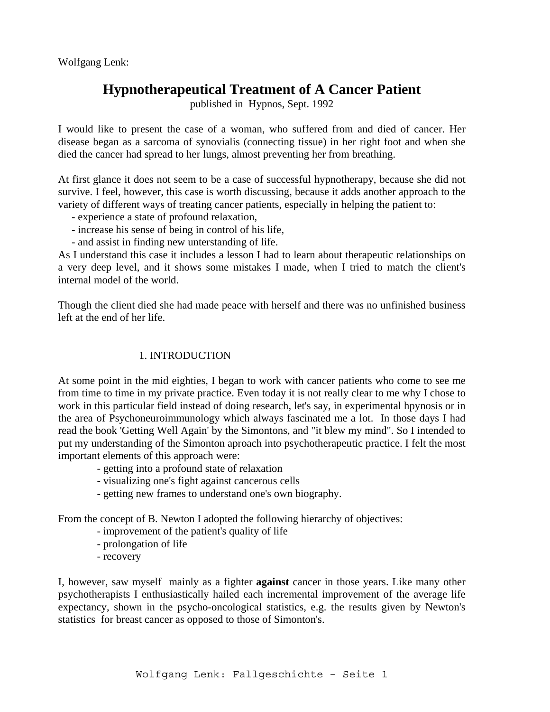Wolfgang Lenk:

# **Hypnotherapeutical Treatment of A Cancer Patient**

published in Hypnos, Sept. 1992

I would like to present the case of a woman, who suffered from and died of cancer. Her disease began as a sarcoma of synovialis (connecting tissue) in her right foot and when she died the cancer had spread to her lungs, almost preventing her from breathing.

At first glance it does not seem to be a case of successful hypnotherapy, because she did not survive. I feel, however, this case is worth discussing, because it adds another approach to the variety of different ways of treating cancer patients, especially in helping the patient to:

- experience a state of profound relaxation,
- increase his sense of being in control of his life,
- and assist in finding new unterstanding of life.

As I understand this case it includes a lesson I had to learn about therapeutic relationships on a very deep level, and it shows some mistakes I made, when I tried to match the client's internal model of the world.

Though the client died she had made peace with herself and there was no unfinished business left at the end of her life.

## 1. INTRODUCTION

At some point in the mid eighties, I began to work with cancer patients who come to see me from time to time in my private practice. Even today it is not really clear to me why I chose to work in this particular field instead of doing research, let's say, in experimental hpynosis or in the area of Psychoneuroimmunology which always fascinated me a lot. In those days I had read the book 'Getting Well Again' by the Simontons, and "it blew my mind". So I intended to put my understanding of the Simonton aproach into psychotherapeutic practice. I felt the most important elements of this approach were:

- getting into a profound state of relaxation
- visualizing one's fight against cancerous cells
- getting new frames to understand one's own biography.

From the concept of B. Newton I adopted the following hierarchy of objectives:

- improvement of the patient's quality of life
- prolongation of life
- recovery

I, however, saw myself mainly as a fighter **against** cancer in those years. Like many other psychotherapists I enthusiastically hailed each incremental improvement of the average life expectancy, shown in the psycho-oncological statistics, e.g. the results given by Newton's statistics for breast cancer as opposed to those of Simonton's.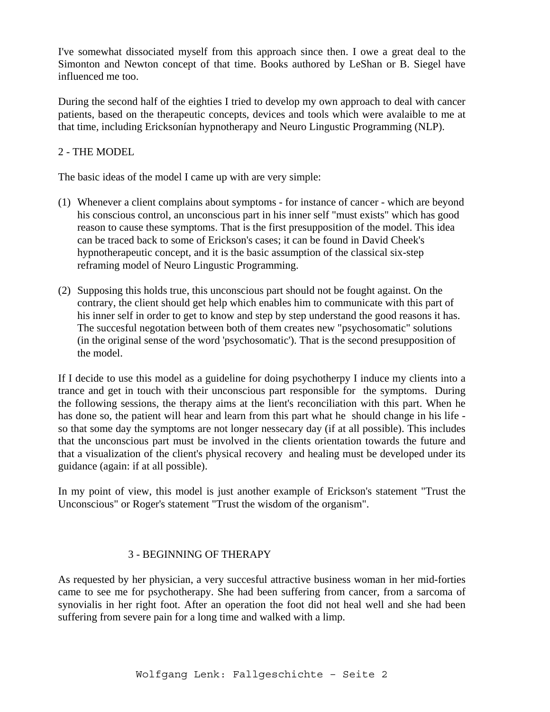I've somewhat dissociated myself from this approach since then. I owe a great deal to the Simonton and Newton concept of that time. Books authored by LeShan or B. Siegel have influenced me too.

During the second half of the eighties I tried to develop my own approach to deal with cancer patients, based on the therapeutic concepts, devices and tools which were avalaible to me at that time, including Ericksonían hypnotherapy and Neuro Lingustic Programming (NLP).

## 2 - THE MODEL

The basic ideas of the model I came up with are very simple:

- (1) Whenever a client complains about symptoms for instance of cancer which are beyond his conscious control, an unconscious part in his inner self "must exists" which has good reason to cause these symptoms. That is the first presupposition of the model. This idea can be traced back to some of Erickson's cases; it can be found in David Cheek's hypnotherapeutic concept, and it is the basic assumption of the classical six-step reframing model of Neuro Lingustic Programming.
- (2) Supposing this holds true, this unconscious part should not be fought against. On the contrary, the client should get help which enables him to communicate with this part of his inner self in order to get to know and step by step understand the good reasons it has. The succesful negotation between both of them creates new "psychosomatic" solutions (in the original sense of the word 'psychosomatic'). That is the second presupposition of the model.

If I decide to use this model as a guideline for doing psychotherpy I induce my clients into a trance and get in touch with their unconscious part responsible for the symptoms. During the following sessions, the therapy aims at the lient's reconciliation with this part. When he has done so, the patient will hear and learn from this part what he should change in his life so that some day the symptoms are not longer nessecary day (if at all possible). This includes that the unconscious part must be involved in the clients orientation towards the future and that a visualization of the client's physical recovery and healing must be developed under its guidance (again: if at all possible).

In my point of view, this model is just another example of Erickson's statement "Trust the Unconscious" or Roger's statement "Trust the wisdom of the organism".

# 3 - BEGINNING OF THERAPY

As requested by her physician, a very succesful attractive business woman in her mid-forties came to see me for psychotherapy. She had been suffering from cancer, from a sarcoma of synovialis in her right foot. After an operation the foot did not heal well and she had been suffering from severe pain for a long time and walked with a limp.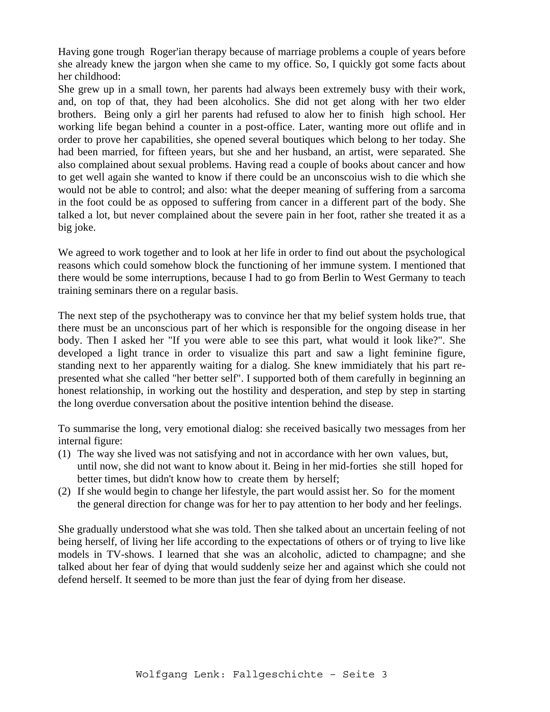Having gone trough Roger'ian therapy because of marriage problems a couple of years before she already knew the jargon when she came to my office. So, I quickly got some facts about her childhood:

She grew up in a small town, her parents had always been extremely busy with their work, and, on top of that, they had been alcoholics. She did not get along with her two elder brothers. Being only a girl her parents had refused to alow her to finish high school. Her working life began behind a counter in a post-office. Later, wanting more out oflife and in order to prove her capabilities, she opened several boutiques which belong to her today. She had been married, for fifteen years, but she and her husband, an artist, were separated. She also complained about sexual problems. Having read a couple of books about cancer and how to get well again she wanted to know if there could be an unconscoius wish to die which she would not be able to control; and also: what the deeper meaning of suffering from a sarcoma in the foot could be as opposed to suffering from cancer in a different part of the body. She talked a lot, but never complained about the severe pain in her foot, rather she treated it as a big joke.

We agreed to work together and to look at her life in order to find out about the psychological reasons which could somehow block the functioning of her immune system. I mentioned that there would be some interruptions, because I had to go from Berlin to West Germany to teach training seminars there on a regular basis.

The next step of the psychotherapy was to convince her that my belief system holds true, that there must be an unconscious part of her which is responsible for the ongoing disease in her body. Then I asked her "If you were able to see this part, what would it look like?". She developed a light trance in order to visualize this part and saw a light feminine figure, standing next to her apparently waiting for a dialog. She knew immidiately that his part represented what she called "her better self". I supported both of them carefully in beginning an honest relationship, in working out the hostility and desperation, and step by step in starting the long overdue conversation about the positive intention behind the disease.

To summarise the long, very emotional dialog: she received basically two messages from her internal figure:

- (1) The way she lived was not satisfying and not in accordance with her own values, but, until now, she did not want to know about it. Being in her mid-forties she still hoped for better times, but didn't know how to create them by herself;
- (2) If she would begin to change her lifestyle, the part would assist her. So for the moment the general direction for change was for her to pay attention to her body and her feelings.

She gradually understood what she was told. Then she talked about an uncertain feeling of not being herself, of living her life according to the expectations of others or of trying to live like models in TV-shows. I learned that she was an alcoholic, adicted to champagne; and she talked about her fear of dying that would suddenly seize her and against which she could not defend herself. It seemed to be more than just the fear of dying from her disease.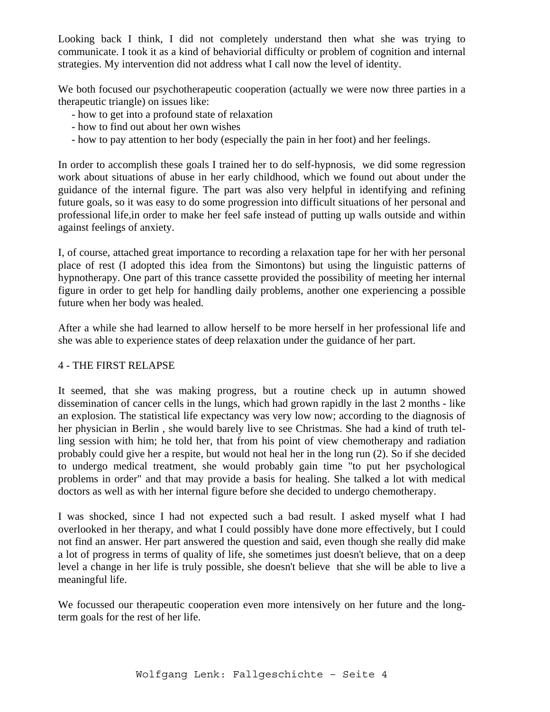Looking back I think, I did not completely understand then what she was trying to communicate. I took it as a kind of behaviorial difficulty or problem of cognition and internal strategies. My intervention did not address what I call now the level of identity.

We both focused our psychotherapeutic cooperation (actually we were now three parties in a therapeutic triangle) on issues like:

- how to get into a profound state of relaxation
- how to find out about her own wishes
- how to pay attention to her body (especially the pain in her foot) and her feelings.

In order to accomplish these goals I trained her to do self-hypnosis, we did some regression work about situations of abuse in her early childhood, which we found out about under the guidance of the internal figure. The part was also very helpful in identifying and refining future goals, so it was easy to do some progression into difficult situations of her personal and professional life,in order to make her feel safe instead of putting up walls outside and within against feelings of anxiety.

I, of course, attached great importance to recording a relaxation tape for her with her personal place of rest (I adopted this idea from the Simontons) but using the linguistic patterns of hypnotherapy. One part of this trance cassette provided the possibility of meeting her internal figure in order to get help for handling daily problems, another one experiencing a possible future when her body was healed.

After a while she had learned to allow herself to be more herself in her professional life and she was able to experience states of deep relaxation under the guidance of her part.

## 4 - THE FIRST RELAPSE

It seemed, that she was making progress, but a routine check up in autumn showed dissemination of cancer cells in the lungs, which had grown rapidly in the last 2 months - like an explosion. The statistical life expectancy was very low now; according to the diagnosis of her physician in Berlin , she would barely live to see Christmas. She had a kind of truth telling session with him; he told her, that from his point of view chemotherapy and radiation probably could give her a respite, but would not heal her in the long run (2). So if she decided to undergo medical treatment, she would probably gain time "to put her psychological problems in order" and that may provide a basis for healing. She talked a lot with medical doctors as well as with her internal figure before she decided to undergo chemotherapy.

I was shocked, since I had not expected such a bad result. I asked myself what I had overlooked in her therapy, and what I could possibly have done more effectively, but I could not find an answer. Her part answered the question and said, even though she really did make a lot of progress in terms of quality of life, she sometimes just doesn't believe, that on a deep level a change in her life is truly possible, she doesn't believe that she will be able to live a meaningful life.

We focussed our therapeutic cooperation even more intensively on her future and the longterm goals for the rest of her life.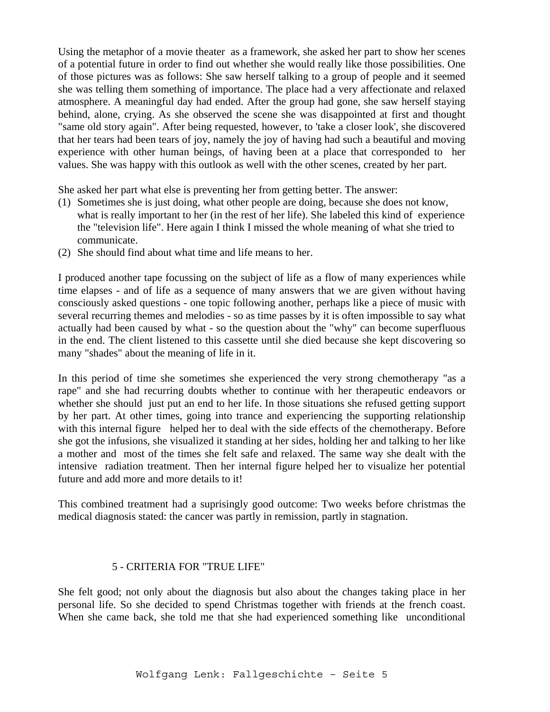Using the metaphor of a movie theater as a framework, she asked her part to show her scenes of a potential future in order to find out whether she would really like those possibilities. One of those pictures was as follows: She saw herself talking to a group of people and it seemed she was telling them something of importance. The place had a very affectionate and relaxed atmosphere. A meaningful day had ended. After the group had gone, she saw herself staying behind, alone, crying. As she observed the scene she was disappointed at first and thought "same old story again". After being requested, however, to 'take a closer look', she discovered that her tears had been tears of joy, namely the joy of having had such a beautiful and moving experience with other human beings, of having been at a place that corresponded to her values. She was happy with this outlook as well with the other scenes, created by her part.

She asked her part what else is preventing her from getting better. The answer:

- (1) Sometimes she is just doing, what other people are doing, because she does not know, what is really important to her (in the rest of her life). She labeled this kind of experience the "television life". Here again I think I missed the whole meaning of what she tried to communicate.
- (2) She should find about what time and life means to her.

I produced another tape focussing on the subject of life as a flow of many experiences while time elapses - and of life as a sequence of many answers that we are given without having consciously asked questions - one topic following another, perhaps like a piece of music with several recurring themes and melodies - so as time passes by it is often impossible to say what actually had been caused by what - so the question about the "why" can become superfluous in the end. The client listened to this cassette until she died because she kept discovering so many "shades" about the meaning of life in it.

In this period of time she sometimes she experienced the very strong chemotherapy "as a rape" and she had recurring doubts whether to continue with her therapeutic endeavors or whether she should just put an end to her life. In those situations she refused getting support by her part. At other times, going into trance and experiencing the supporting relationship with this internal figure helped her to deal with the side effects of the chemotherapy. Before she got the infusions, she visualized it standing at her sides, holding her and talking to her like a mother and most of the times she felt safe and relaxed. The same way she dealt with the intensive radiation treatment. Then her internal figure helped her to visualize her potential future and add more and more details to it!

This combined treatment had a suprisingly good outcome: Two weeks before christmas the medical diagnosis stated: the cancer was partly in remission, partly in stagnation.

### 5 - CRITERIA FOR "TRUE LIFE"

She felt good; not only about the diagnosis but also about the changes taking place in her personal life. So she decided to spend Christmas together with friends at the french coast. When she came back, she told me that she had experienced something like unconditional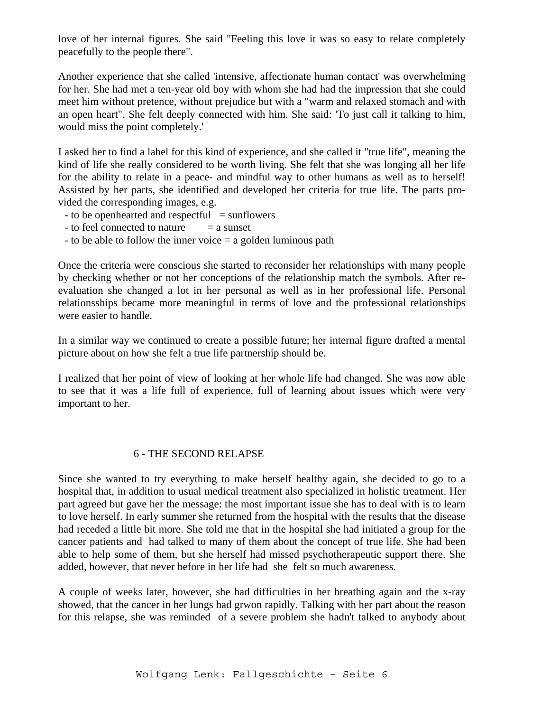love of her internal figures. She said "Feeling this love it was so easy to relate completely peacefully to the people there".

Another experience that she called 'intensive, affectionate human contact' was overwhelming for her. She had met a ten-year old boy with whom she had had the impression that she could meet him without pretence, without prejudice but with a "warm and relaxed stomach and with an open heart". She felt deeply connected with him. She said: 'To just call it talking to him, would miss the point completely.'

I asked her to find a label for this kind of experience, and she called it "true life", meaning the kind of life she really considered to be worth living. She felt that she was longing all her life for the ability to relate in a peace- and mindful way to other humans as well as to herself! Assisted by her parts, she identified and developed her criteria for true life. The parts provided the corresponding images, e.g.

- to be openhearted and respectful  $=$  sunflowers
- $-$  to feel connected to nature  $=$  a sunset
- to be able to follow the inner voice  $=$  a golden luminous path

Once the criteria were conscious she started to reconsider her relationships with many people by checking whether or not her conceptions of the relationship match the symbols. After reevaluation she changed a lot in her personal as well as in her professional life. Personal relationsships became more meaningful in terms of love and the professional relationships were easier to handle.

In a similar way we continued to create a possible future; her internal figure drafted a mental picture about on how she felt a true life partnership should be.

I realized that her point of view of looking at her whole life had changed. She was now able to see that it was a life full of experience, full of learning about issues which were very important to her.

### 6 - THE SECOND RELAPSE

Since she wanted to try everything to make herself healthy again, she decided to go to a hospital that, in addition to usual medical treatment also specialized in holistic treatment. Her part agreed but gave her the message: the most important issue she has to deal with is to learn to love herself. In early summer she returned from the hospital with the results that the disease had receded a little bit more. She told me that in the hospital she had initiated a group for the cancer patients and had talked to many of them about the concept of true life. She had been able to help some of them, but she herself had missed psychotherapeutic support there. She added, however, that never before in her life had she felt so much awareness.

A couple of weeks later, however, she had difficulties in her breathing again and the x-ray showed, that the cancer in her lungs had grwon rapidly. Talking with her part about the reason for this relapse, she was reminded of a severe problem she hadn't talked to anybody about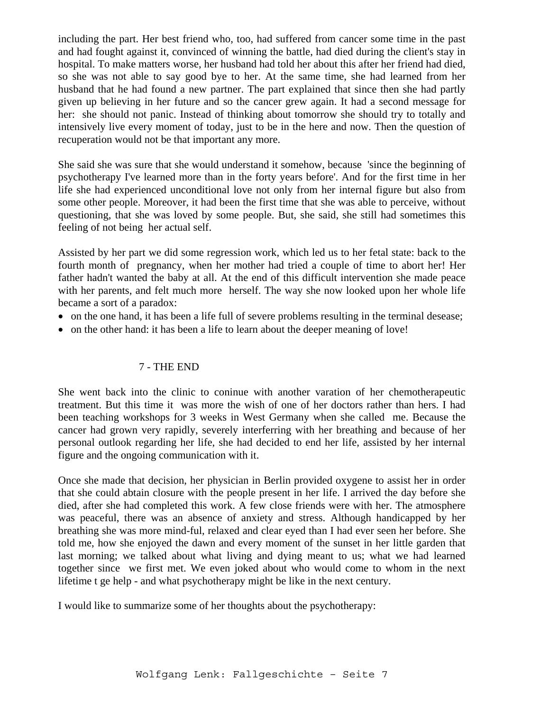including the part. Her best friend who, too, had suffered from cancer some time in the past and had fought against it, convinced of winning the battle, had died during the client's stay in hospital. To make matters worse, her husband had told her about this after her friend had died, so she was not able to say good bye to her. At the same time, she had learned from her husband that he had found a new partner. The part explained that since then she had partly given up believing in her future and so the cancer grew again. It had a second message for her: she should not panic. Instead of thinking about tomorrow she should try to totally and intensively live every moment of today, just to be in the here and now. Then the question of recuperation would not be that important any more.

She said she was sure that she would understand it somehow, because 'since the beginning of psychotherapy I've learned more than in the forty years before'. And for the first time in her life she had experienced unconditional love not only from her internal figure but also from some other people. Moreover, it had been the first time that she was able to perceive, without questioning, that she was loved by some people. But, she said, she still had sometimes this feeling of not being her actual self.

Assisted by her part we did some regression work, which led us to her fetal state: back to the fourth month of pregnancy, when her mother had tried a couple of time to abort her! Her father hadn't wanted the baby at all. At the end of this difficult intervention she made peace with her parents, and felt much more herself. The way she now looked upon her whole life became a sort of a paradox:

- on the one hand, it has been a life full of severe problems resulting in the terminal desease;
- on the other hand: it has been a life to learn about the deeper meaning of love!

### 7 - THE END

She went back into the clinic to coninue with another varation of her chemotherapeutic treatment. But this time it was more the wish of one of her doctors rather than hers. I had been teaching workshops for 3 weeks in West Germany when she called me. Because the cancer had grown very rapidly, severely interferring with her breathing and because of her personal outlook regarding her life, she had decided to end her life, assisted by her internal figure and the ongoing communication with it.

Once she made that decision, her physician in Berlin provided oxygene to assist her in order that she could abtain closure with the people present in her life. I arrived the day before she died, after she had completed this work. A few close friends were with her. The atmosphere was peaceful, there was an absence of anxiety and stress. Although handicapped by her breathing she was more mind-ful, relaxed and clear eyed than I had ever seen her before. She told me, how she enjoyed the dawn and every moment of the sunset in her little garden that last morning; we talked about what living and dying meant to us; what we had learned together since we first met. We even joked about who would come to whom in the next lifetime t ge help - and what psychotherapy might be like in the next century.

I would like to summarize some of her thoughts about the psychotherapy: